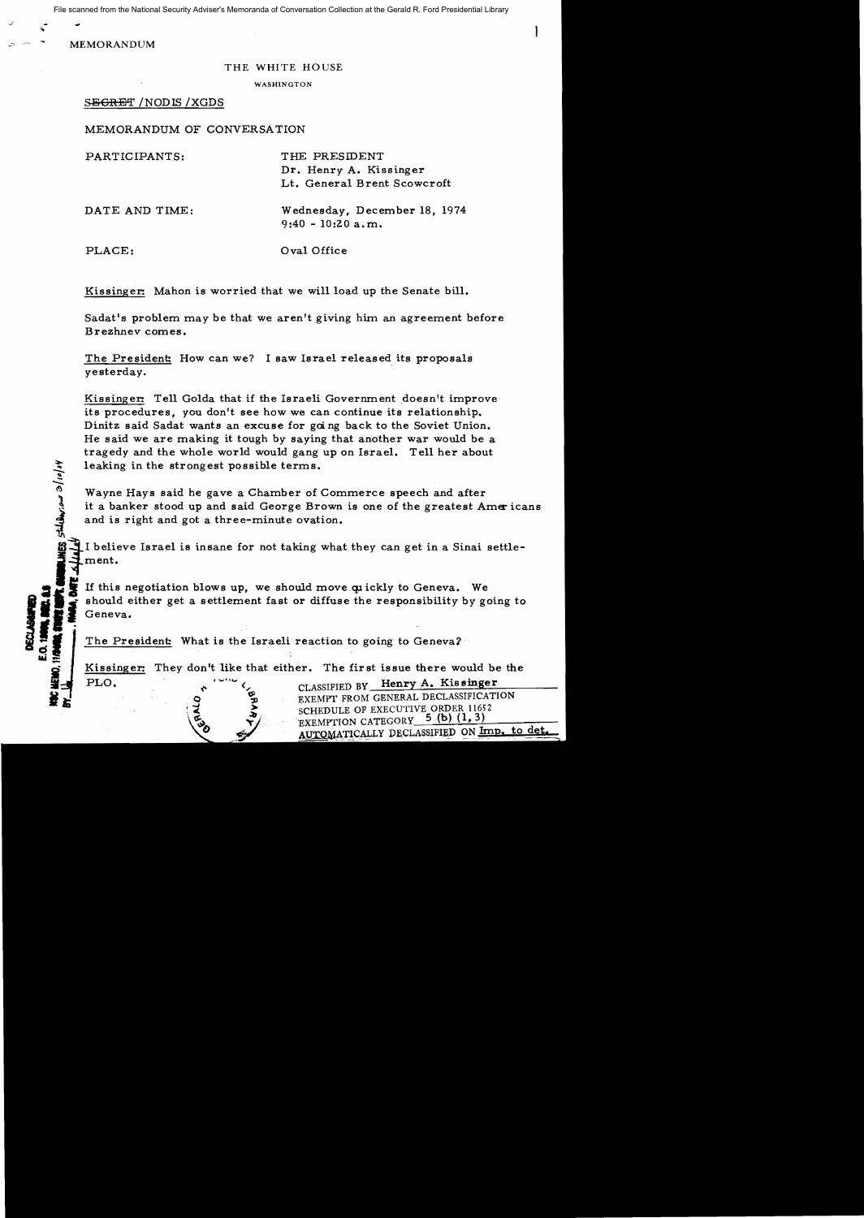File scanned from the National Security Adviser's Memoranda of Conversation Collection at the Gerald R. Ford Presidential Library

**MEMORANDUM** 

#### THE WHITE HOUSE

WASHINGTON

### S<del>ECRET</del> /NODIS /XGDS

MEMORANDUM OF CONVERSATION

PARTICIPANTS: THE PRESIDENT Dr. Henry A. Kissinger Lt. General Brent Scowcroft DATE AND TIME: Wednesday, December 18, 1974 9:40 - 10:20 a.m.

;:po

....::::.

PLACE:  $Oval Office$ 

Kissinger: Mahon is worried that we will load up the Senate bill.

Sadat's problem may be that we aren't giving him an agreement before Brezhnev comes.

The President: How can we? I saw Israel released its proposals yesterday.

Kissinger: Tell Golda that if the Israeli Government doesn't improve its procedures, you don't see how we can continue its relationship. Dinitz said Sadat wants an excuse for goi ng back to the Soviet Union. He said we are making it tough by saying that another war would be a tragedy and the whole world would gang up on Israel. Tell her about leaking in the strongest possible terms.

Wayne Hays said he gave a Chamber of Commerce speech and after it a banker stood up and said George Brown is one of the greatest Americans and is right and got a three-minute ovation.

.  $\rightarrow$ I believe Israel is insane for not taking what they can get in a Sinai settlement.

If this negotiation blows up, we should move quickly to Geneva. We should either get a settlement fast or diffuse the responsibility by going to Geneva.

The President: What is the Israeli reaction to going to Geneva?

Kissinger: They don't like that either. The first issue there would be the PLO.  $\lambda$   $\sim$   $\sim$   $\sim$  CLASSIFIED BY Henry A. Kissinger

EXEMPT FROM GENERAL DECLASSIFICATION SCHEDULE OF EXECUTIVE ORDER 11652 EXEMPTION CATEGORY 5 (b) (1, 3)

AUTOMATICALLY DECLASSIFIED ON Imp. to det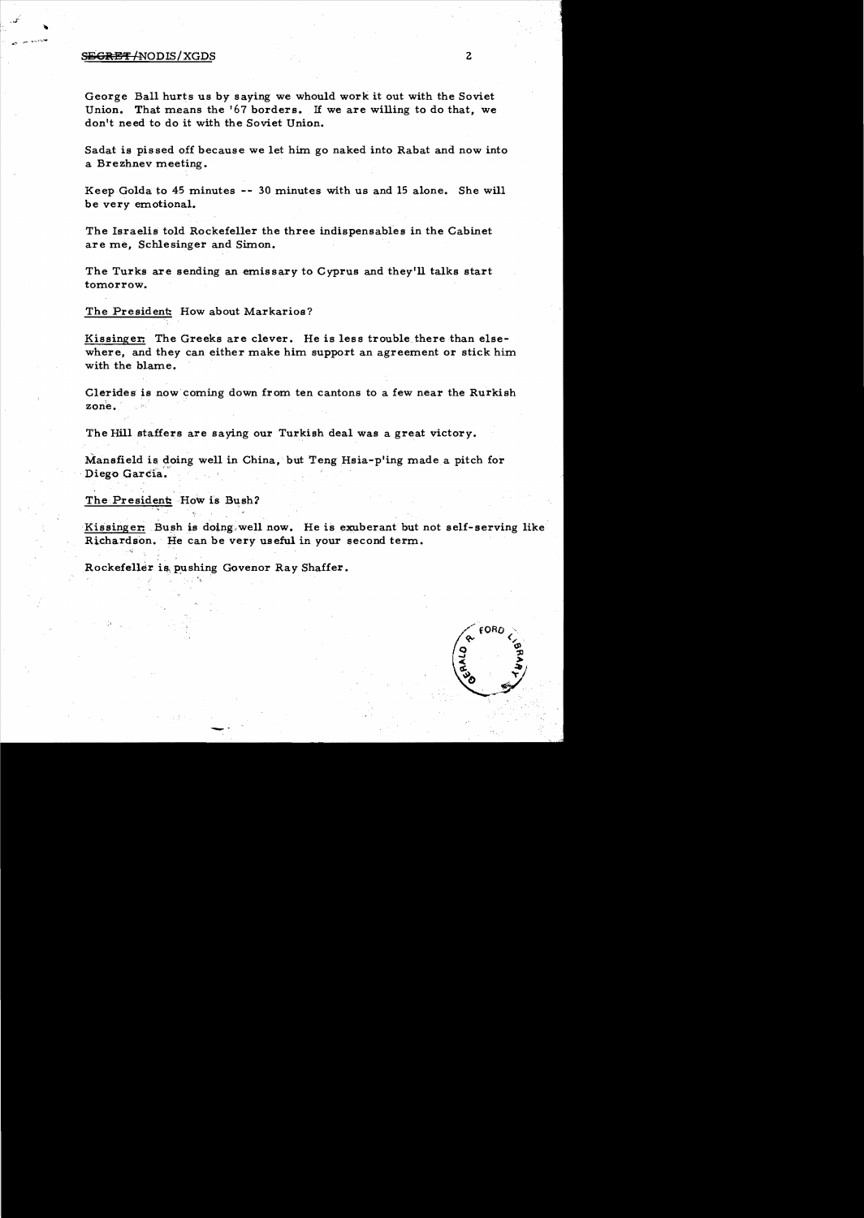### ~E"!' *INODIS/XGDS* 2

George Ball hurts us by saying we whould work it out with the Soviet Union. That means the '67 borders. If we are willing to do that, we don't need to do it with the Soviet Union.

Sadat is pissed off because we let him go naked into Rabat and now into a Brezhnev meeting.

Keep Golda to 45 minutes .- 30 minutes with us and 15 alone. She will be very emotional.

The Israelis told Rockefeller the three indispensables in the Cabinet are me, Schlesinger and Simon.

The Turks are sending an emissary to Cyprus and they'll talks start tomorrow.

The President: How about Markarios?

Kissinger: The Greeks are clever. He is less trouble. there than elsewhere, and they can either make him support an agreement or stick him with the blame.

Clerides is now coming down from ten cantons to a few near the Rurkish zone.

The Hill staffers are saying our Turkish deal was a great victory.

Mansfield is doing well in China, but Teng Hsia-pling made a pitch for Diego Garcia.

The President: How is Bush?

Kissinger: Bush is doing well now. He is exuberant but not self-serving like Richardson. He can be very useful in your second term.

Rockefeller is pushing Govenor Ray Shaffer.

--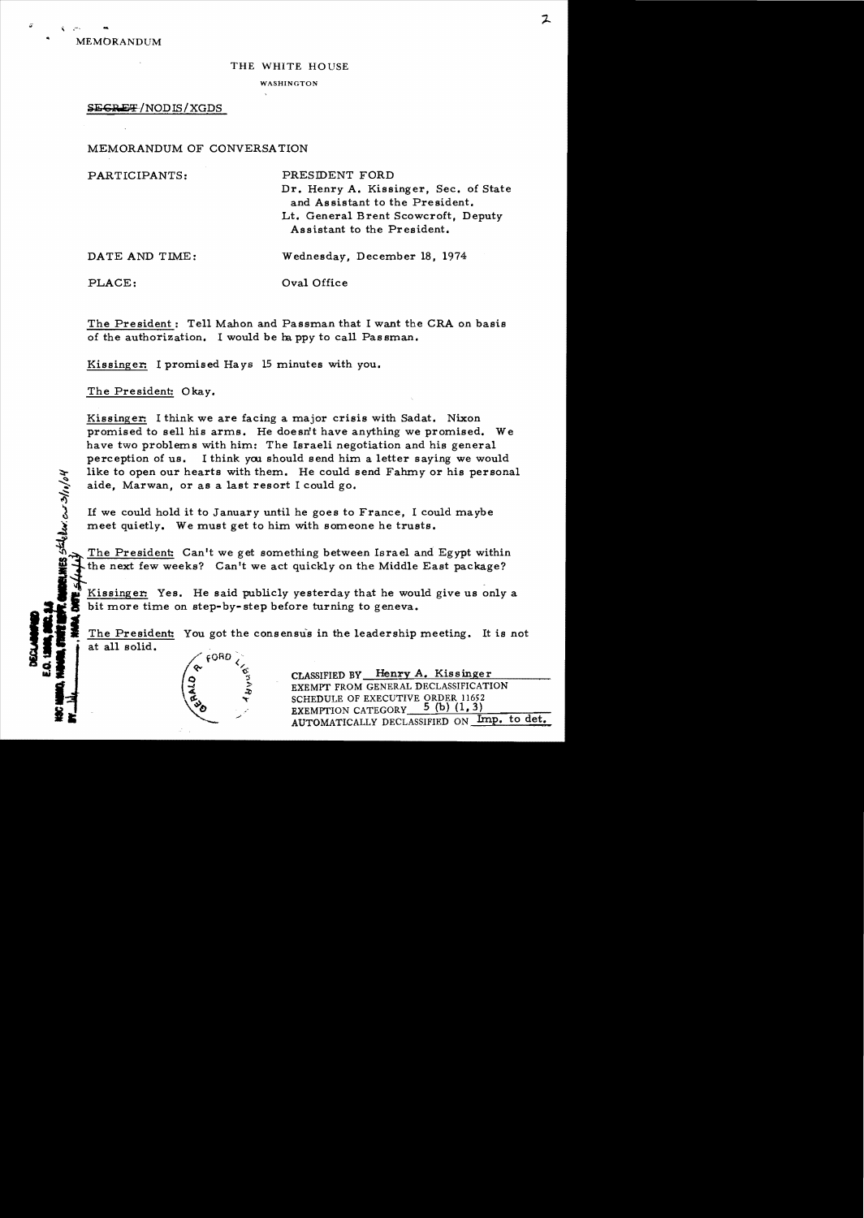THE WHITE HOUSE

WASHINGTON

# **SEGRET/NODIS/XGDS**

MEMORANDUM OF CONVERSATION

PARTICIPANTS: PRESIDENT FORD Dr. Henry A. Kissinger, Sec. of State and Assistant to the President. Lt. General Brent Scowcroft, Deputy Assistant to the President. DATE AND TIME: Wednesday, December 18, 1974

<u>ः</u> أراد/أث

 $\alpha$ 

PLACE: Oval Office

The President: Tell Mahon and Passman that I want the CRA on basis of the authorization. I would be happy to call Passman.

Kissinger: I promised *Hays* 15 minutes with you.

 $\mathcal{L}$ , 't

The President: Okay.

Kissinger: I think we are facing a major crisis with Sadat. Nixon promised to sell his arms. He doesn't have anything we promised. We have two problems with him: The Israeli negotiation and his general perception of us. I think you should send him a letter saying we would like to open our hearts with them. He could send Fahmy or his personal aide, Marwan, or as a last resort I could go.

If we could hold it to January until he goes to France, I could maybe meet quietly. We must get to him with someone he trusts.

The President: Can't we get something between Israel and Egypt within the next few weeks? Can't we act quickly on the Middle East package?

Kissinger. Yes. He said publicly yesterday that he would give us only a bit more time on step-by-step before turning to geneva.

The President: You got the consensus in the leadership meeting. It is not at all solid.<br>  $\angle$  6080.

 $\begin{pmatrix}\n\infty & \circ & \circ \\
\circ & \circ & \circ \\
\circ & \circ & \circ \\
\circ & \circ & \circ \\
\circ & \circ & \circ \\
\circ & \circ & \circ \\
\circ & \circ & \circ\n\end{pmatrix}$ EXEMPT FROM GENERAL DECLASSIFICATION<br>
SCHEDULE OF EXECUTIVE ORDER 11652<br>
EXEMPT FROM GENERAL DECLASSIFICATION SCHEDULE OF EXECUTIVE ORDER 11652 EXEMPTION CATEGORY  $5$  (b) (1, 3) AUTOMATICALLY DECLASSIFIED ON Imp. to det.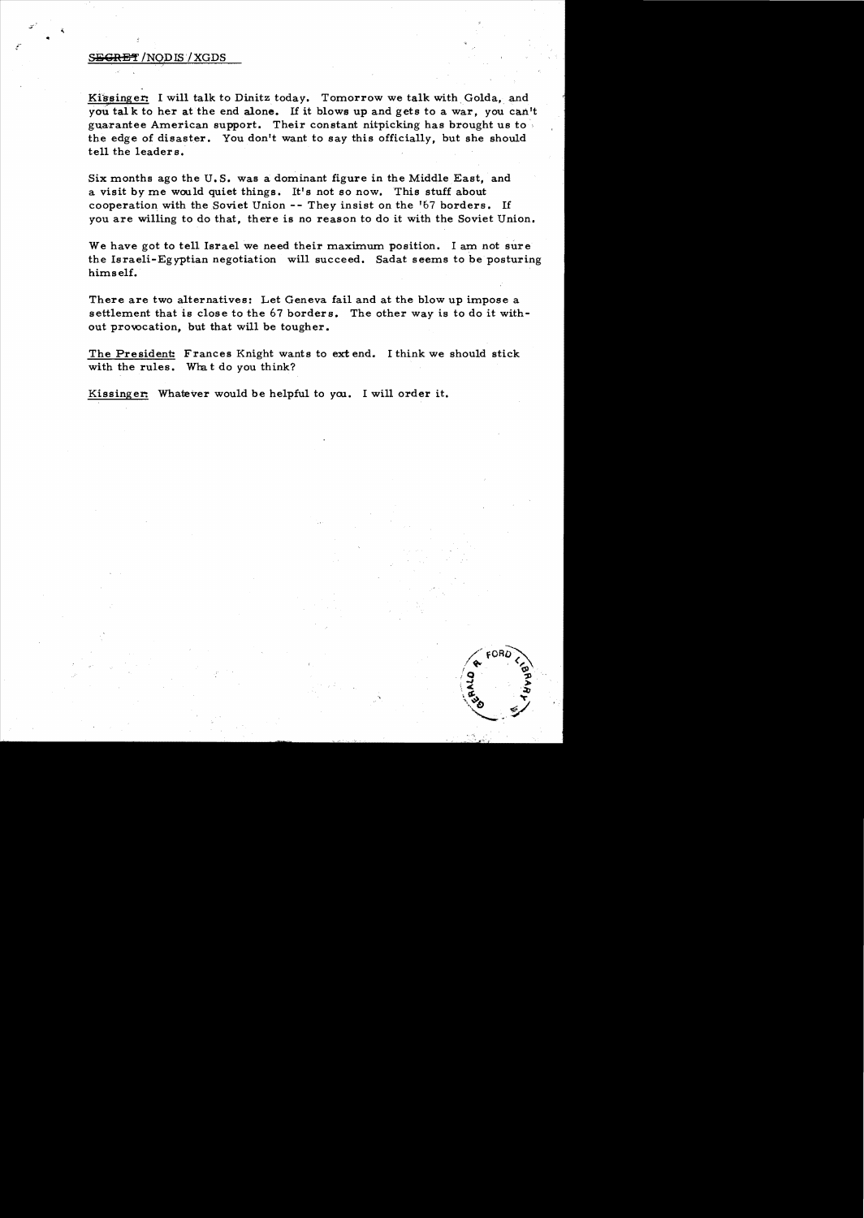# S<del>ECRET</del> / NODIS / XGDS

Kissinger: I will talk to Dinitz today. Tomorrow we talk with Golda, and you tal k to her at the end alone. If it blows up and gets to a war, you can't guarantee American support. Their constant nitpicking has brought us to the edge of disaster. You don't want to say this officially, but she should tell the leaders.

Six months ago the U. S. was a dominant figure in the Middle East, and a visit by me would quiet things. It's not so now. This stuff about cooperation with the Soviet Union -- They insist on the '67 borders. If you are willing to do that, there is no reason to do it with the Soviet Union.

We have got to tell Israel we need their maximum position. I am not sure the Israeli-Egyptian negotiation will succeed. Sadat seems to be posturing himself.

There are two alternatives: Let Geneva fail and at the blow up impose a settlement that is close to the 67 borders. The other way is to do it without provocation, but that will be tougher.

The President: Frances Knight wants to ext end. I think we should stick with the rules. What do you think?

Kissinger: Whatever would be helpful to you. I will order it.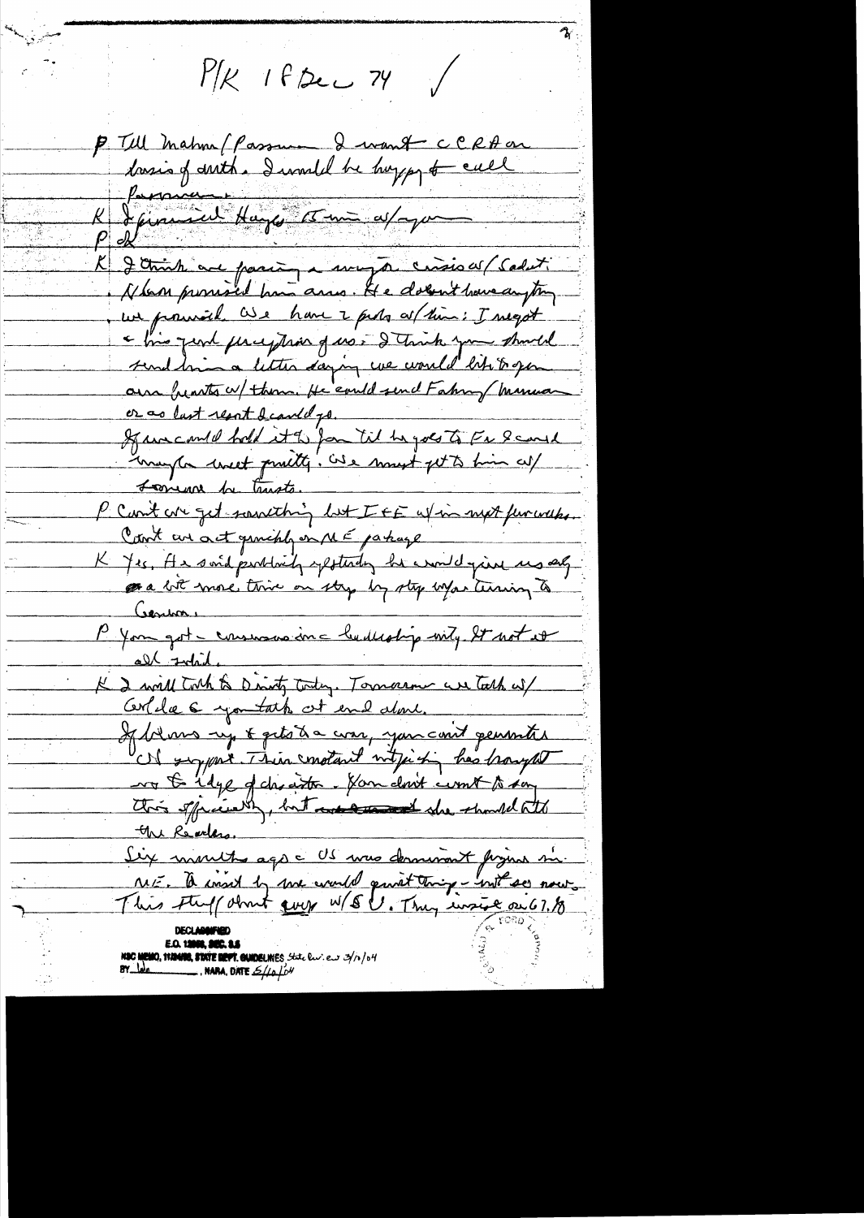$M/K$  If Dec 74 P Till Mahm (Passument CCRA on Simul Hage 15 min av Jeg St elle Jetink au parin a muja crisis av Caluti Alson promised have arres. He dolen't have anything we promite are have a proba as (him : I megot chio just perception of us. I truck you should send him a litter daying we would like to gen our hearts w/ them. He could send Fahry Munuar or as last result deautel go. If we could hold it the fame til he goes to Fe Scarl mayton west prosty! Ose most get to him cut P Cont cre get soutching let IEE afin mot furcouse. Cant are act granchly on ME parkage K Yes, An sond purblaid, expetending her would give us any as a bit more thin on stry by sty what terring to Contras P You got - consumers inc budlestip with St not et all Indid. K 2 will toth to Direct Today. Tomarour we talk wil Cercile 6 you take at end done. If belows up & gets a com, you coul generates Of sypax This motart intjuich has harged vo to idye of cheathe. Han don't comt to say this spicewhy, but we are the should att the Readers. Six mouts ago - US was dominant figure si NSC MEMO, ITANIO, STATE DEPT. GUIDELINES State live as 3/10/04<br>BY Long

ستبري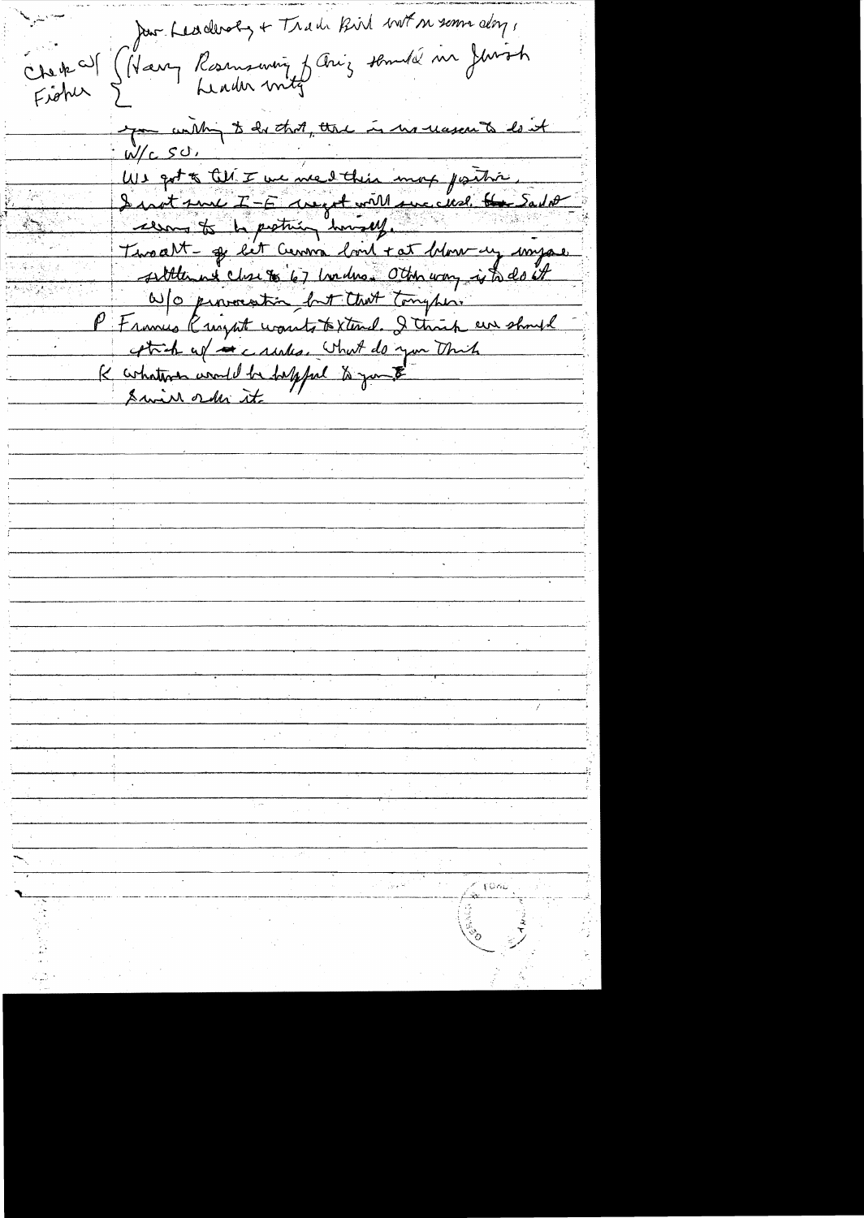Jan Leaderoly + Trade Bird both memorialors, Chek al (Harry Rosmswing fang somdel in Jurish Figher you within it do that, that is he reason to lost  $W/c$   $SO$ , We got to the I we went this map postion. I wat sure  $T - E$  are get will succeed the Salit cem to be protrie humany. Twoalt ge let Cerma lors + at blow un mysel sittlement charge 67 hours Oth way is to do it W/o provocation but that tonghose P Frances Rught wounts to Xtend. I think are should attach up a cautes. What do you think K cohatron would be helpful to you to Swin order it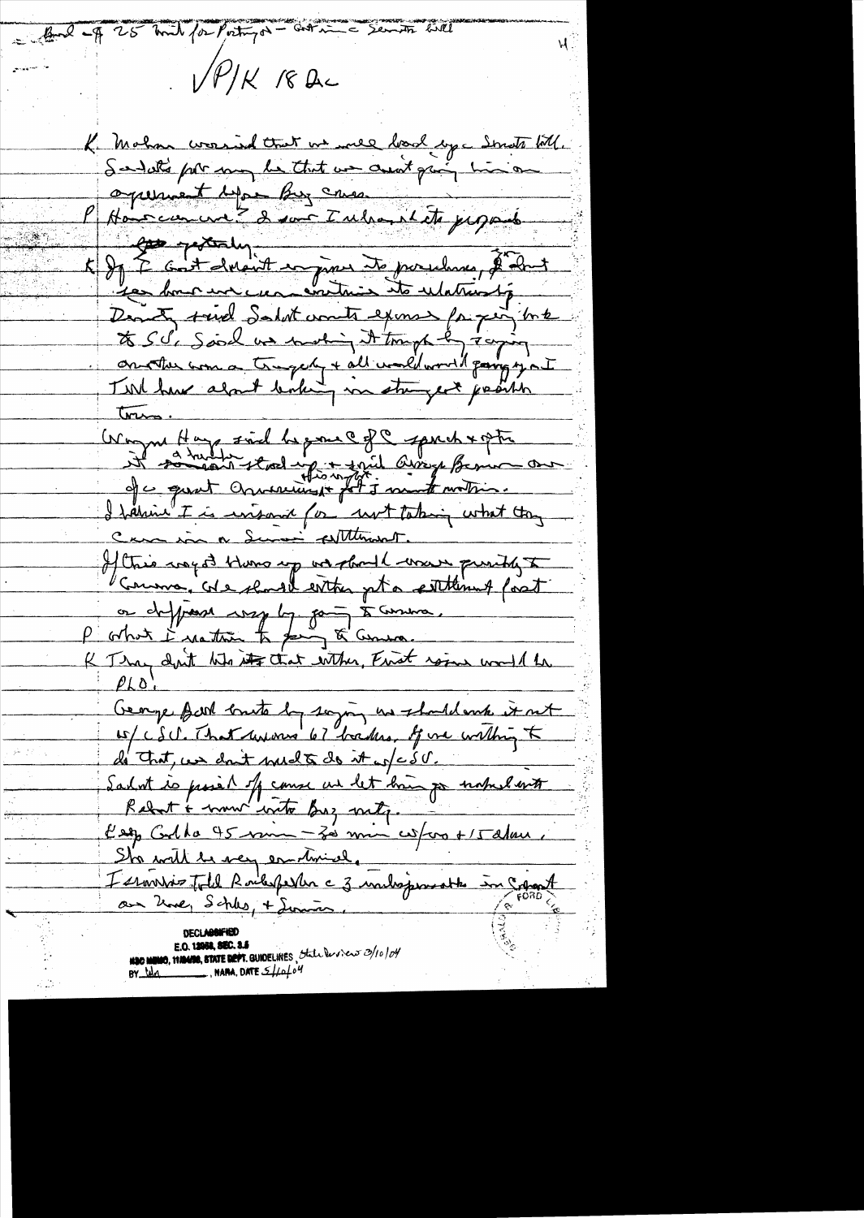But of 25 mil for Point a - corrie Servits will  $(V^{\prime\prime}/K$  18 Ac K Mahan crossind that we mee book age Smots till.<br>Soudate par my le that un creat qui minor operant dependers cases les protectes Danity said Salat counts exemployed but to S S is Said un motion it tough & toging <u>tres.</u> Wayne Hay sind beganne of a spirit approximation I harmin I is insant for not taking what too Cara in a Summer Althought. If this ingot there up we should wave purity to on defficient very log part à command K Thay don't the its that wither, First rain would be George Bark brute by saying us should mike it not w/ CSU. That we was 67 bades. If we within to de Trat, un dont med to do it w/c S V. Sadot is possible of course us let brun por naturelants Rebert & now write Byz mily. n ya sheka Keep Codha 45 min - Zes min cosfaro + 15 alan. Sho with be very emotioned. L'ernissie Totel Rockspester c 3 inchesperante in Copy A au Zwe, Schles, + Lumin. **HOO MEMO, MANOS, STATE DEPT.** GUIDELINES , State least est  $\mathcal{D}/\mathcal{D}/\mathcal{D}'$ 

BY  $\frac{bda}{d}$ , NARA, DATE  $\frac{cf}{d}$